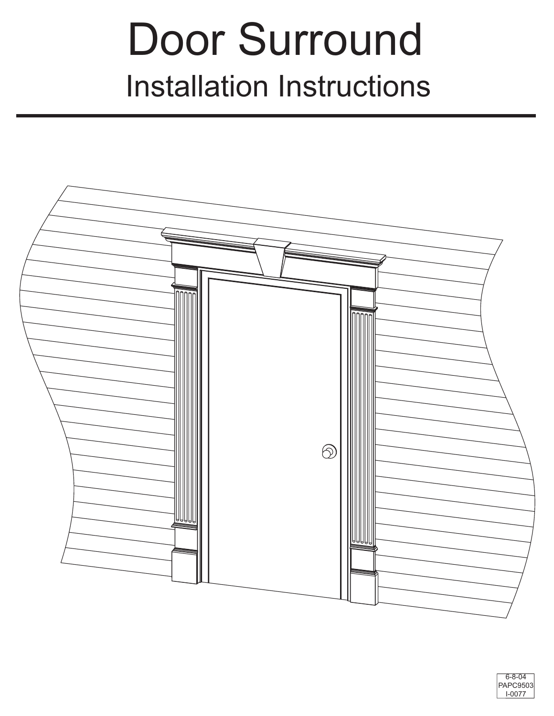# Door Surround Installation Instructions



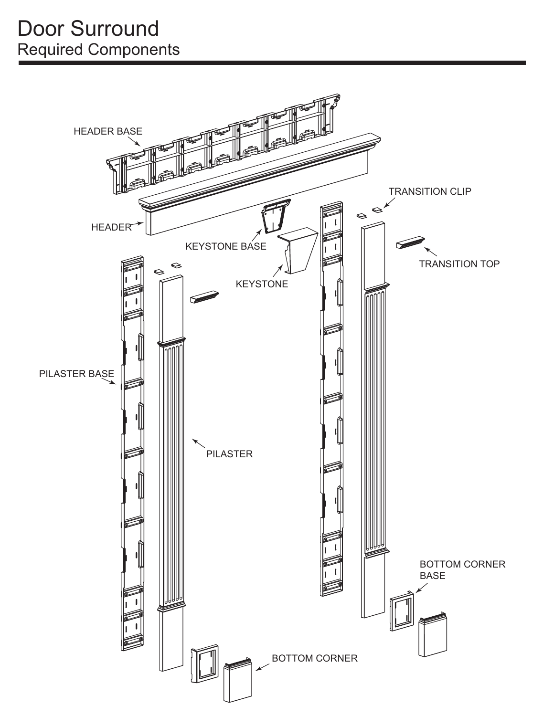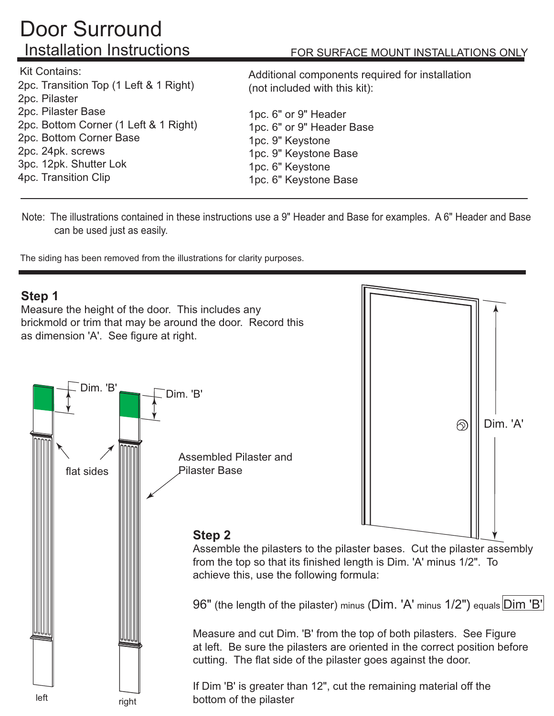# Door Surround Installation Instructions

Kit Contains:

2pc. Transition Top (1 Left & 1 Right) 2pc. Pilaster 2pc. Pilaster Base 2pc. Bottom Corner (1 Left & 1 Right) 2pc. Bottom Corner Base 2pc. 24pk. screws 3pc. 12pk. Shutter Lok 4pc. Transition Clip

#### FOR SURFACE MOUNT INSTALLATIONS ONLY

Additional components required for installation (not included with this kit):

1pc. 6" or 9" Header 1pc. 6" or 9" Header Base 1pc. 9" Keystone 1pc. 9" Keystone Base 1pc. 6" Keystone 1pc. 6" Keystone Base

Note: The illustrations contained in these instructions use a 9" Header and Base for examples. A 6" Header and Base can be used just as easily.

The siding has been removed from the illustrations for clarity purposes.

# **Step 1** Measure the height of the door. This includes any brickmold or trim that may be around the door. Record this as dimension 'A'. See figure at right. Dim. 'B' Dim. 'B' Dim. 'A' இ Assembled Pilaster and Pilaster Baseflat sides **Step 2** Assemble the pilasters to the pilaster bases. Cut the pilaster assembly from the top so that its finished length is Dim. 'A' minus 1/2". To achieve this, use the following formula: 96" (the length of the pilaster) minus (Dim. 'A' minus 1/2") equals Dim 'B' Measure and cut Dim. 'B' from the top of both pilasters. See Figure at left. Be sure the pilasters are oriented in the correct position before cutting. The flat side of the pilaster goes against the door. If Dim 'B' is greater than 12", cut the remaining material off the left right bottom of the pilaster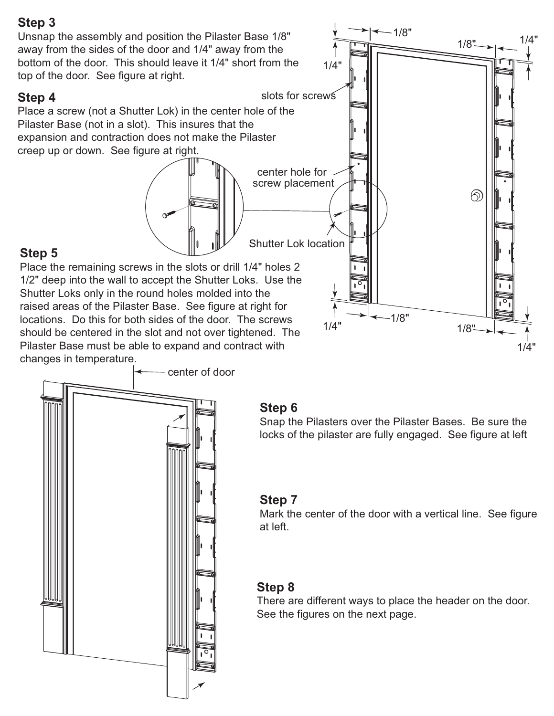1/8" Unsnap the assembly and position the Pilaster Base 1/8" 1/4" $1/8$ " away from the sides of the door and 1/4" away from the bottom of the door. This should leave it 1/4" short from the 1/4" top of the door. See figure at right. slots for screws **Step 4** Place a screw (not a Shutter Lok) in the center hole of the Pilaster Base (not in a slot). This insures that the expansion and contraction does not make the Pilaster creep up or down. See figure at right. center hole for screw placement  $\circledR$ Shutter Lok location **Step 5** Place the remaining screws in the slots or drill 1/4" holes 2 1/2" deep into the wall to accept the Shutter Loks. Use the Shutter Loks only in the round holes molded into the raised areas of the Pilaster Base. See figure at right for 1/8" locations. Do this for both sides of the door. The screws 1/4"  $1/8"$ should be centered in the slot and not over tightened. The

Pilaster Base must be able to expand and contract with changes in temperature.



#### **Step 6**

Snap the Pilasters over the Pilaster Bases. Be sure the locks of the pilaster are fully engaged. See figure at left

1/4"

#### **Step 7**

Mark the center of the door with a vertical line. See figure at left.

#### **Step 8**

There are different ways to place the header on the door. See the figures on the next page.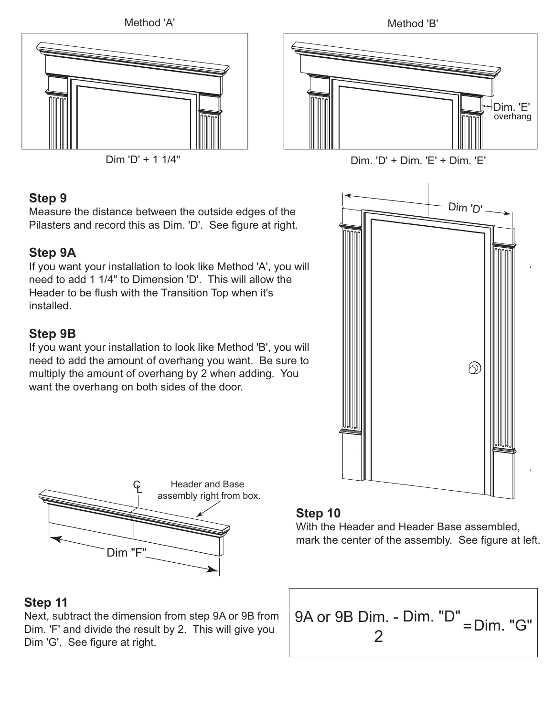





Measure the distance between the outside edges of the Pilasters and record this as Dim. 'D'. See figure at right.

# **Step 9A**

If you want your installation to look like Method 'A', you will need to add 1 1/4" to Dimension 'D'. This will allow the Header to be flush with the Transition Top when it's installed.

## **Step 9B**

If you want your installation to look like Method 'B', you will need to add the amount of overhang you want. Be sure to multiply the amount of overhang by 2 when adding. You want the overhang on both sides of the door.





#### **Step 10**

With the Header and Header Base assembled, mark the center of the assembly. See figure at left.

#### **Step 11**

Next, subtract the dimension from step 9A or 9B from Dim. 'F' and divide the result by 2. This will give you Dim 'G'. See figure at right.

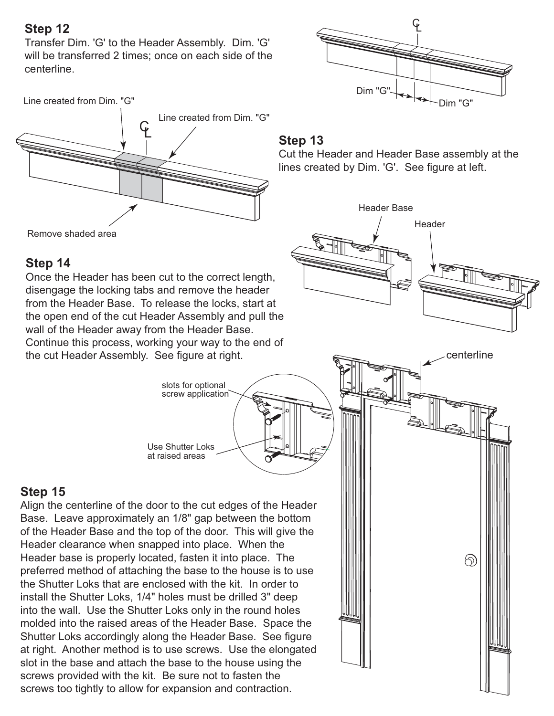Transfer Dim. 'G' to the Header Assembly. Dim. 'G' will be transferred 2 times; once on each side of the centerline.



Remove shaded area

## **Step 14**

Once the Header has been cut to the correct length, disengage the locking tabs and remove the header from the Header Base. To release the locks, start at the open end of the cut Header Assembly and pull the wall of the Header away from the Header Base. Continue this process, working your way to the end of the cut Header Assembly. See figure at right.

> slots for optional screw application

Use Shutter Loks at raised areas

# **Step 15**

Align the centerline of the door to the cut edges of the Header Base. Leave approximately an 1/8" gap between the bottom of the Header Base and the top of the door. This will give the Header clearance when snapped into place. When the Header base is properly located, fasten it into place. The preferred method of attaching the base to the house is to use the Shutter Loks that are enclosed with the kit. In order to install the Shutter Loks, 1/4" holes must be drilled 3" deep into the wall. Use the Shutter Loks only in the round holes molded into the raised areas of the Header Base. Space the Shutter Loks accordingly along the Header Base. See figure at right. Another method is to use screws. Use the elongated slot in the base and attach the base to the house using the screws provided with the kit. Be sure not to fasten the screws too tightly to allow for expansion and contraction.



#### **Step 13**

Cut the Header and Header Base assembly at the lines created by Dim. 'G'. See figure at left.

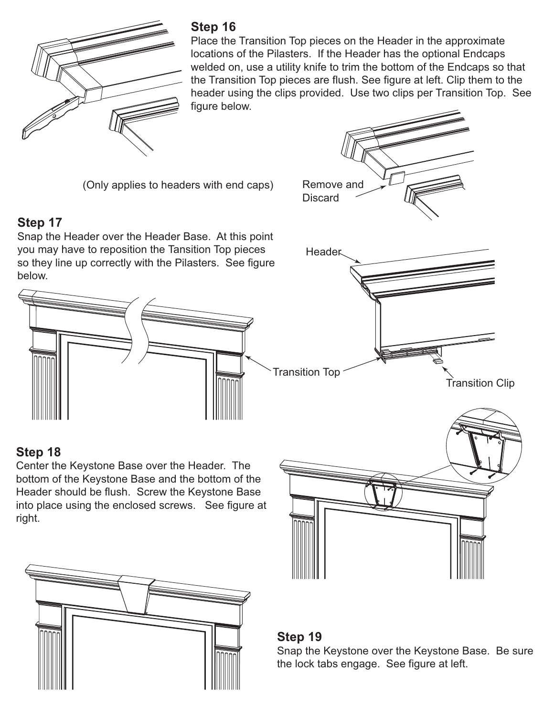

Place the Transition Top pieces on the Header in the approximate locations of the Pilasters. If the Header has the optional Endcaps welded on, use a utility knife to trim the bottom of the Endcaps so that the Transition Top pieces are flush. See figure at left. Clip them to the header using the clips provided. Use two clips per Transition Top. See figure below.

(Only applies to headers with end caps)

# **Step 17**

Snap the Header over the Header Base. At this point you may have to reposition the Tansition Top pieces so they line up correctly with the Pilasters. See figure below.



# **Step 18**

Center the Keystone Base over the Header. The bottom of the Keystone Base and the bottom of the Header should be flush. Screw the Keystone Base into place using the enclosed screws. See figure at right.





#### **Step 19**

Snap the Keystone over the Keystone Base. Be sure the lock tabs engage. See figure at left.





Transition Clip